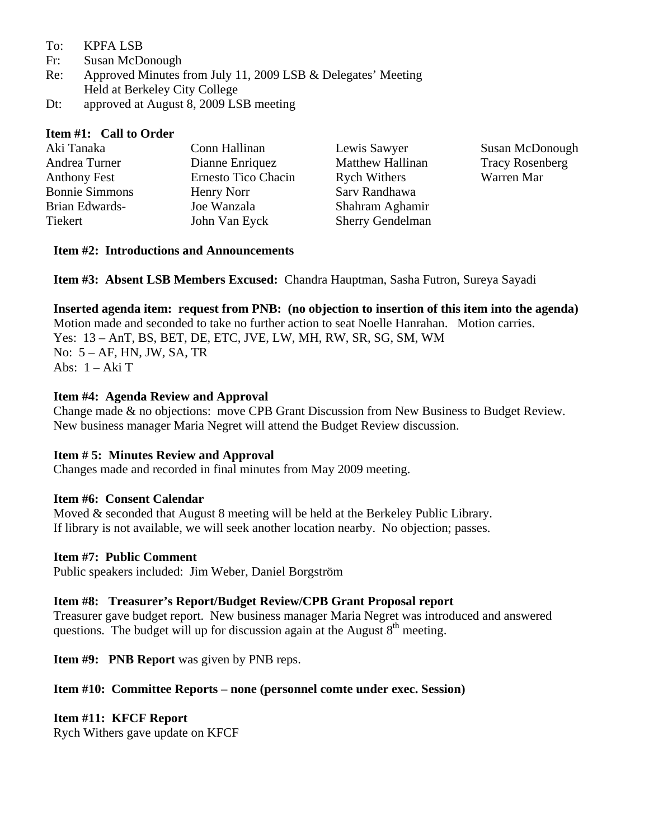- To: KPFA LSB
- Fr: Susan McDonough
- Re: Approved Minutes from July 11, 2009 LSB & Delegates' Meeting Held at Berkeley City College
- Dt: approved at August 8, 2009 LSB meeting

### **Item #1: Call to Order**

| Aki Tanaka            | Conn Hallinan       | Lewis Sawyer            | Susan McDonough        |
|-----------------------|---------------------|-------------------------|------------------------|
| Andrea Turner         | Dianne Enriquez     | <b>Matthew Hallinan</b> | <b>Tracy Rosenberg</b> |
| Anthony Fest          | Ernesto Tico Chacin | <b>Rych Withers</b>     | Warren Mar             |
| <b>Bonnie Simmons</b> | Henry Norr          | Sarv Randhawa           |                        |
| Brian Edwards-        | Joe Wanzala         | Shahram Aghamir         |                        |
| Tiekert               | John Van Eyck       | <b>Sherry Gendelman</b> |                        |

#### **Item #2: Introductions and Announcements**

**Item #3: Absent LSB Members Excused:** Chandra Hauptman, Sasha Futron, Sureya Sayadi

**Inserted agenda item: request from PNB: (no objection to insertion of this item into the agenda)**  Motion made and seconded to take no further action to seat Noelle Hanrahan. Motion carries. Yes: 13 – AnT, BS, BET, DE, ETC, JVE, LW, MH, RW, SR, SG, SM, WM No: 5 – AF, HN, JW, SA, TR Abs: 1 – Aki T

### **Item #4: Agenda Review and Approval**

Change made & no objections: move CPB Grant Discussion from New Business to Budget Review. New business manager Maria Negret will attend the Budget Review discussion.

### **Item # 5: Minutes Review and Approval**

Changes made and recorded in final minutes from May 2009 meeting.

### **Item #6: Consent Calendar**

Moved & seconded that August 8 meeting will be held at the Berkeley Public Library. If library is not available, we will seek another location nearby. No objection; passes.

### **Item #7: Public Comment**

Public speakers included: Jim Weber, Daniel Borgström

### **Item #8: Treasurer's Report/Budget Review/CPB Grant Proposal report**

Treasurer gave budget report. New business manager Maria Negret was introduced and answered questions. The budget will up for discussion again at the August  $8<sup>th</sup>$  meeting.

**Item #9: PNB Report** was given by PNB reps.

### **Item #10: Committee Reports – none (personnel comte under exec. Session)**

### **Item #11: KFCF Report**

Rych Withers gave update on KFCF